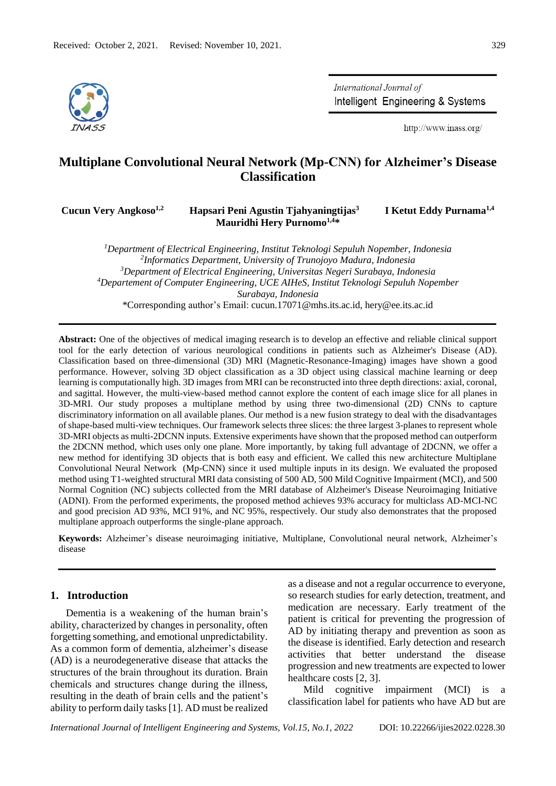

International Journal of Intelligent Engineering & Systems

http://www.inass.org/

# **Multiplane Convolutional Neural Network (Mp-CNN) for Alzheimer's Disease Classification**

**Cucun Very Angkoso1,2**

# **Hapsari Peni Agustin Tjahyaningtijas<sup>3</sup> Mauridhi Hery Purnomo1,4\***

 **I Ketut Eddy Purnama1,4** 

*Department of Electrical Engineering, Institut Teknologi Sepuluh Nopember, Indonesia Informatics Department, University of Trunojoyo Madura, Indonesia Department of Electrical Engineering, Universitas Negeri Surabaya, Indonesia Departement of Computer Engineering, UCE AIHeS, Institut Teknologi Sepuluh Nopember Surabaya, Indonesia* \*Corresponding author's Email: cucun.17071@mhs.its.ac.id, hery@ee.its.ac.id

**Abstract:** One of the objectives of medical imaging research is to develop an effective and reliable clinical support tool for the early detection of various neurological conditions in patients such as Alzheimer's Disease (AD). Classification based on three-dimensional (3D) MRI (Magnetic-Resonance-Imaging) images have shown a good performance. However, solving 3D object classification as a 3D object using classical machine learning or deep learning is computationally high. 3D images from MRI can be reconstructed into three depth directions: axial, coronal, and sagittal. However, the multi-view-based method cannot explore the content of each image slice for all planes in 3D-MRI. Our study proposes a multiplane method by using three two-dimensional (2D) CNNs to capture discriminatory information on all available planes. Our method is a new fusion strategy to deal with the disadvantages of shape-based multi-view techniques. Our framework selects three slices: the three largest 3-planes to represent whole 3D-MRI objects as multi-2DCNN inputs. Extensive experiments have shown that the proposed method can outperform the 2DCNN method, which uses only one plane. More importantly, by taking full advantage of 2DCNN, we offer a new method for identifying 3D objects that is both easy and efficient. We called this new architecture Multiplane Convolutional Neural Network (Mp-CNN) since it used multiple inputs in its design. We evaluated the proposed method using T1-weighted structural MRI data consisting of 500 AD, 500 Mild Cognitive Impairment (MCI), and 500 Normal Cognition (NC) subjects collected from the MRI database of Alzheimer's Disease Neuroimaging Initiative (ADNI). From the performed experiments, the proposed method achieves 93% accuracy for multiclass AD-MCI-NC and good precision AD 93%, MCI 91%, and NC 95%, respectively. Our study also demonstrates that the proposed multiplane approach outperforms the single-plane approach.

**Keywords:** Alzheimer's disease neuroimaging initiative, Multiplane, Convolutional neural network, Alzheimer's disease

# **1. Introduction**

Dementia is a weakening of the human brain's ability, characterized by changes in personality, often forgetting something, and emotional unpredictability. As a common form of dementia, alzheimer's disease (AD) is a neurodegenerative disease that attacks the structures of the brain throughout its duration. Brain chemicals and structures change during the illness, resulting in the death of brain cells and the patient's ability to perform daily tasks [1]. AD must be realized as a disease and not a regular occurrence to everyone, so research studies for early detection, treatment, and medication are necessary. Early treatment of the patient is critical for preventing the progression of AD by initiating therapy and prevention as soon as the disease is identified. Early detection and research activities that better understand the disease progression and new treatments are expected to lower healthcare costs [2, 3].

Mild cognitive impairment (MCI) is a classification label for patients who have AD but are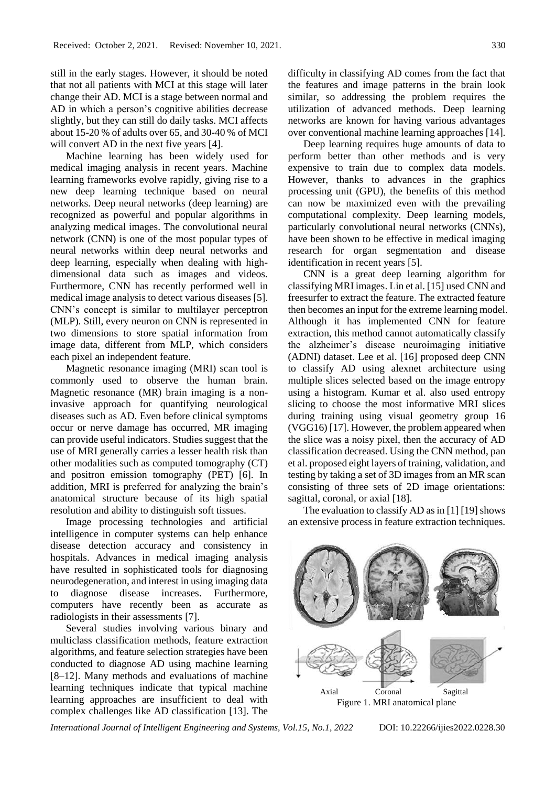still in the early stages. However, it should be noted that not all patients with MCI at this stage will later change their AD. MCI is a stage between normal and AD in which a person's cognitive abilities decrease slightly, but they can still do daily tasks. MCI affects about 15-20 % of adults over 65, and 30-40 % of MCI will convert AD in the next five years [4].

Machine learning has been widely used for medical imaging analysis in recent years. Machine learning frameworks evolve rapidly, giving rise to a new deep learning technique based on neural networks. Deep neural networks (deep learning) are recognized as powerful and popular algorithms in analyzing medical images. The convolutional neural network (CNN) is one of the most popular types of neural networks within deep neural networks and deep learning, especially when dealing with highdimensional data such as images and videos. Furthermore, CNN has recently performed well in medical image analysis to detect various diseases [5]. CNN's concept is similar to multilayer perceptron (MLP). Still, every neuron on CNN is represented in two dimensions to store spatial information from image data, different from MLP, which considers each pixel an independent feature.

Magnetic resonance imaging (MRI) scan tool is commonly used to observe the human brain. Magnetic resonance (MR) brain imaging is a noninvasive approach for quantifying neurological diseases such as AD. Even before clinical symptoms occur or nerve damage has occurred, MR imaging can provide useful indicators. Studies suggest that the use of MRI generally carries a lesser health risk than other modalities such as computed tomography (CT) and positron emission tomography (PET) [6]. In addition, MRI is preferred for analyzing the brain's anatomical structure because of its high spatial resolution and ability to distinguish soft tissues.

Image processing technologies and artificial intelligence in computer systems can help enhance disease detection accuracy and consistency in hospitals. Advances in medical imaging analysis have resulted in sophisticated tools for diagnosing neurodegeneration, and interest in using imaging data to diagnose disease increases. Furthermore, computers have recently been as accurate as radiologists in their assessments [7].

Several studies involving various binary and multiclass classification methods, feature extraction algorithms, and feature selection strategies have been conducted to diagnose AD using machine learning [8–12]. Many methods and evaluations of machine learning techniques indicate that typical machine learning approaches are insufficient to deal with complex challenges like AD classification [13]. The

difficulty in classifying AD comes from the fact that the features and image patterns in the brain look similar, so addressing the problem requires the utilization of advanced methods. Deep learning networks are known for having various advantages over conventional machine learning approaches [14].

Deep learning requires huge amounts of data to perform better than other methods and is very expensive to train due to complex data models. However, thanks to advances in the graphics processing unit (GPU), the benefits of this method can now be maximized even with the prevailing computational complexity. Deep learning models, particularly convolutional neural networks (CNNs), have been shown to be effective in medical imaging research for organ segmentation and disease identification in recent years [5].

CNN is a great deep learning algorithm for classifying MRI images. Lin et al. [15] used CNN and freesurfer to extract the feature. The extracted feature then becomes an input for the extreme learning model. Although it has implemented CNN for feature extraction, this method cannot automatically classify the alzheimer's disease neuroimaging initiative (ADNI) dataset. Lee et al. [16] proposed deep CNN to classify AD using alexnet architecture using multiple slices selected based on the image entropy using a histogram. Kumar et al. also used entropy slicing to choose the most informative MRI slices during training using visual geometry group 16 (VGG16) [17]. However, the problem appeared when the slice was a noisy pixel, then the accuracy of AD classification decreased. Using the CNN method, pan et al. proposed eight layers of training, validation, and testing by taking a set of 3D images from an MR scan consisting of three sets of 2D image orientations: sagittal, coronal, or axial [18].

The evaluation to classify AD as in  $[1] [19]$  shows an extensive process in feature extraction techniques.



Figure 1. MRI anatomical plane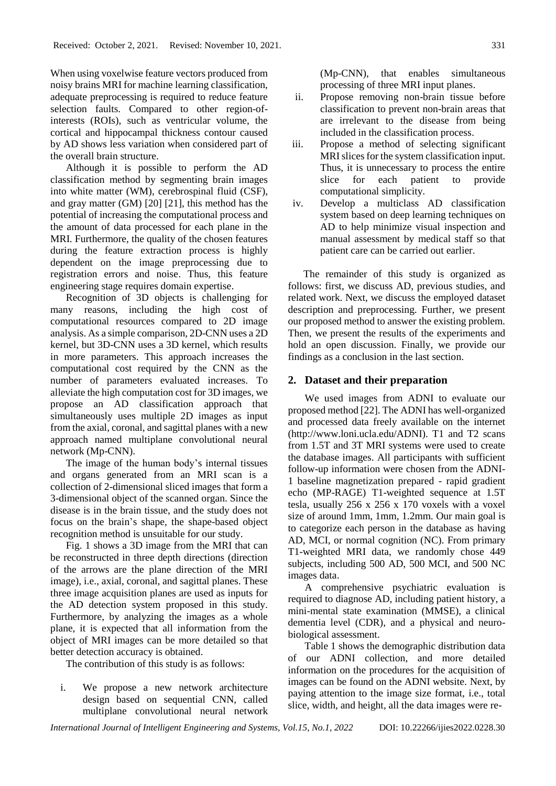When using voxelwise feature vectors produced from noisy brains MRI for machine learning classification, adequate preprocessing is required to reduce feature selection faults. Compared to other region-ofinterests (ROIs), such as ventricular volume, the cortical and hippocampal thickness contour caused by AD shows less variation when considered part of the overall brain structure.

Although it is possible to perform the AD classification method by segmenting brain images into white matter (WM), cerebrospinal fluid (CSF), and gray matter (GM) [20] [21], this method has the potential of increasing the computational process and the amount of data processed for each plane in the MRI. Furthermore, the quality of the chosen features during the feature extraction process is highly dependent on the image preprocessing due to registration errors and noise. Thus, this feature engineering stage requires domain expertise.

Recognition of 3D objects is challenging for many reasons, including the high cost of computational resources compared to 2D image analysis. As a simple comparison, 2D-CNN uses a 2D kernel, but 3D-CNN uses a 3D kernel, which results in more parameters. This approach increases the computational cost required by the CNN as the number of parameters evaluated increases. To alleviate the high computation cost for 3D images, we propose an AD classification approach that simultaneously uses multiple 2D images as input from the axial, coronal, and sagittal planes with a new approach named multiplane convolutional neural network (Mp-CNN).

The image of the human body's internal tissues and organs generated from an MRI scan is a collection of 2-dimensional sliced images that form a 3-dimensional object of the scanned organ. Since the disease is in the brain tissue, and the study does not focus on the brain's shape, the shape-based object recognition method is unsuitable for our study.

Fig. 1 shows a 3D image from the MRI that can be reconstructed in three depth directions (direction of the arrows are the plane direction of the MRI image), i.e., axial, coronal, and sagittal planes. These three image acquisition planes are used as inputs for the AD detection system proposed in this study. Furthermore, by analyzing the images as a whole plane, it is expected that all information from the object of MRI images can be more detailed so that better detection accuracy is obtained.

The contribution of this study is as follows:

i. We propose a new network architecture design based on sequential CNN, called multiplane convolutional neural network (Mp-CNN), that enables simultaneous processing of three MRI input planes.

- ii. Propose removing non-brain tissue before classification to prevent non-brain areas that are irrelevant to the disease from being included in the classification process.
- iii. Propose a method of selecting significant MRI slices for the system classification input. Thus, it is unnecessary to process the entire slice for each patient to provide computational simplicity.
- iv. Develop a multiclass AD classification system based on deep learning techniques on AD to help minimize visual inspection and manual assessment by medical staff so that patient care can be carried out earlier.

The remainder of this study is organized as follows: first, we discuss AD, previous studies, and related work. Next, we discuss the employed dataset description and preprocessing. Further, we present our proposed method to answer the existing problem. Then, we present the results of the experiments and hold an open discussion. Finally, we provide our findings as a conclusion in the last section.

### **2. Dataset and their preparation**

We used images from ADNI to evaluate our proposed method [22]. The ADNI has well-organized and processed data freely available on the internet (http://www.loni.ucla.edu/ADNI). T1 and T2 scans from 1.5T and 3T MRI systems were used to create the database images. All participants with sufficient follow-up information were chosen from the ADNI-1 baseline magnetization prepared - rapid gradient echo (MP-RAGE) T1-weighted sequence at 1.5T tesla, usually 256 x 256 x 170 voxels with a voxel size of around 1mm, 1mm, 1.2mm. Our main goal is to categorize each person in the database as having AD, MCI, or normal cognition (NC). From primary T1-weighted MRI data, we randomly chose 449 subjects, including 500 AD, 500 MCI, and 500 NC images data.

A comprehensive psychiatric evaluation is required to diagnose AD, including patient history, a mini-mental state examination (MMSE), a clinical dementia level (CDR), and a physical and neurobiological assessment.

Table 1 shows the demographic distribution data of our ADNI collection, and more detailed information on the procedures for the acquisition of images can be found on the ADNI website. Next, by paying attention to the image size format, i.e., total slice, width, and height, all the data images were re-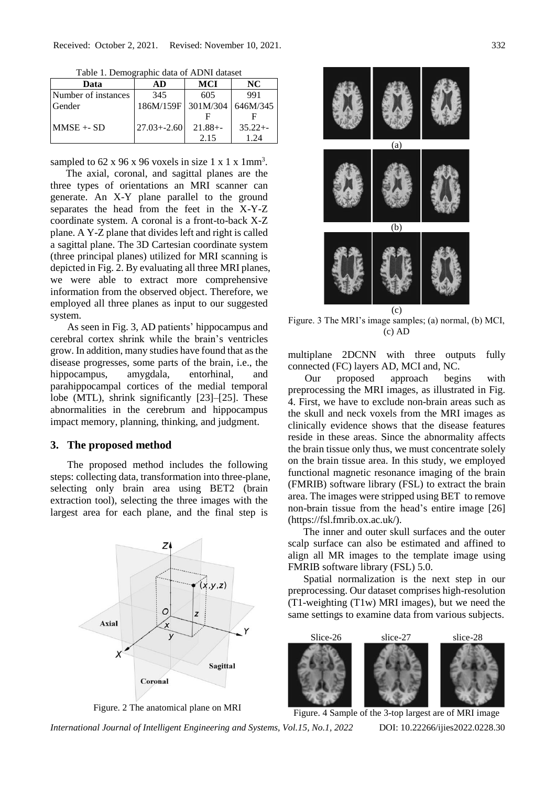| Tuble 1. Demographic data of Tibl of dataset |                    |             |             |  |  |  |  |
|----------------------------------------------|--------------------|-------------|-------------|--|--|--|--|
| Data                                         | AD                 | MCI         | NC          |  |  |  |  |
| Number of instances                          | 345                | 605         | 991         |  |  |  |  |
| Gender                                       | 186M/159F 301M/304 |             | 646M/345    |  |  |  |  |
|                                              |                    |             |             |  |  |  |  |
| $MMSE + SD$                                  | $27.03 + -2.60$    | $21.88 + -$ | $35.22 + -$ |  |  |  |  |
|                                              |                    | 2.15        | 1 24        |  |  |  |  |

Table 1. Demographic data of ADNI dataset

sampled to  $62 \times 96 \times 96$  voxels in size 1 x 1 x 1mm<sup>3</sup>.

The axial, coronal, and sagittal planes are the three types of orientations an MRI scanner can generate. An X-Y plane parallel to the ground separates the head from the feet in the X-Y-Z coordinate system. A coronal is a front-to-back X-Z plane. A Y-Z plane that divides left and right is called a sagittal plane. The 3D Cartesian coordinate system (three principal planes) utilized for MRI scanning is depicted in Fig. 2. By evaluating all three MRI planes, we were able to extract more comprehensive information from the observed object. Therefore, we employed all three planes as input to our suggested system.

As seen in Fig. 3, AD patients' hippocampus and cerebral cortex shrink while the brain's ventricles grow. In addition, many studies have found that as the disease progresses, some parts of the brain, i.e., the hippocampus, amygdala, entorhinal, and parahippocampal cortices of the medial temporal lobe (MTL), shrink significantly [23]–[25]. These abnormalities in the cerebrum and hippocampus impact memory, planning, thinking, and judgment.

### **3. The proposed method**

The proposed method includes the following steps: collecting data, transformation into three-plane, selecting only brain area using BET2 (brain extraction tool), selecting the three images with the largest area for each plane, and the final step is



Figure. 2 The anatomical plane on MRI

(a) (b) (c)

Figure. 3 The MRI's image samples; (a) normal, (b) MCI, (c) AD

multiplane 2DCNN with three outputs fully connected (FC) layers AD, MCI and, NC.

Our proposed approach begins with preprocessing the MRI images, as illustrated in Fig. 4. First, we have to exclude non-brain areas such as the skull and neck voxels from the MRI images as clinically evidence shows that the disease features reside in these areas. Since the abnormality affects the brain tissue only thus, we must concentrate solely on the brain tissue area. In this study, we employed functional magnetic resonance imaging of the brain (FMRIB) software library (FSL) to extract the brain area. The images were stripped using BET to remove non-brain tissue from the head's entire image [26] (https://fsl.fmrib.ox.ac.uk/).

The inner and outer skull surfaces and the outer scalp surface can also be estimated and affined to align all MR images to the template image using FMRIB software library (FSL) 5.0.

Spatial normalization is the next step in our preprocessing. Our dataset comprises high-resolution (T1-weighting (T1w) MRI images), but we need the same settings to examine data from various subjects.



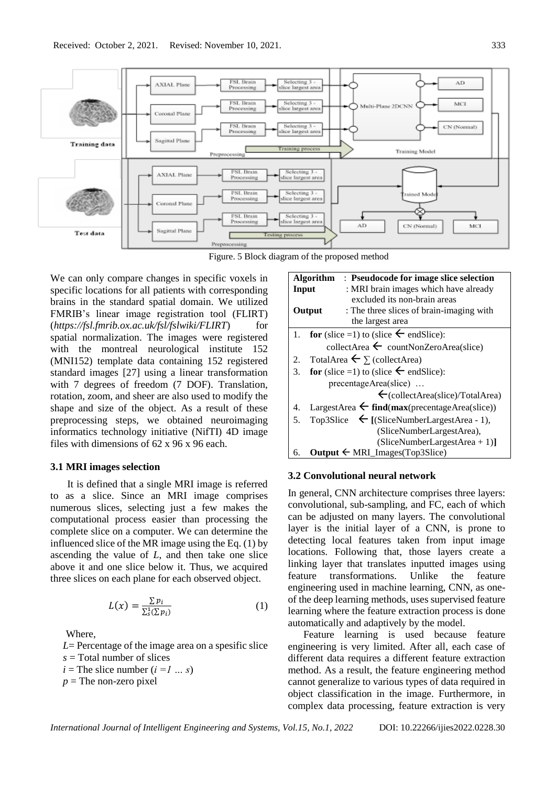

Figure. 5 Block diagram of the proposed method

We can only compare changes in specific voxels in specific locations for all patients with corresponding brains in the standard spatial domain. We utilized FMRIB's linear image registration tool (FLIRT) (*https://fsl.fmrib.ox.ac.uk/fsl/fslwiki/FLIRT*) for spatial normalization. The images were registered with the montreal neurological institute 152 (MNI152) template data containing 152 registered standard images [27] using a linear transformation with 7 degrees of freedom (7 DOF). Translation, rotation, zoom, and sheer are also used to modify the shape and size of the object. As a result of these preprocessing steps, we obtained neuroimaging informatics technology initiative (NifTI) 4D image files with dimensions of 62 x 96 x 96 each.

## **3.1 MRI images selection**

It is defined that a single MRI image is referred to as a slice. Since an MRI image comprises numerous slices, selecting just a few makes the computational process easier than processing the complete slice on a computer. We can determine the influenced slice of the MR image using the Eq. (1) by ascending the value of *L*, and then take one slice above it and one slice below it. Thus, we acquired three slices on each plane for each observed object.

$$
L(x) = \frac{\sum p_i}{\sum_{s}^{1} (\sum p_i)}\tag{1}
$$

Where,

*L*= Percentage of the image area on a spesific slice *s* = Total number of slices  $i =$  The slice number  $(i = 1 ... s)$ 

- 
- $p =$ The non-zero pixel

\n- Algorithm: Pseudocode for image slice selection\n **Input**\n
	\n- MRI brain images which have already excluded its non-brain areas
	\n\n
\n- Output: The three slices of brain-imaging with the largest area
\n- In for (slice = 1) to (slice & endSlice):
\n- collectArea & countNonZeroArea(slice)
\n- TotalArea & 
$$
\sum
$$
 (collectArea)
\n- for (slice = 1) to (slice & endSlice):
\n- precentageArea(slice):
\n- precentageArea(slice):
\n- $\langle$  collectArea(slice)/TotalArea)
\n
\n\n- LargestarArea & find(max(precentageArea(slice))
\n- Top3Slice & [(SliceNumberLargestArea - 1), (SliceNumberLargestArea), (SliceNumberLargestArea + 1)]
\n- Output & MRI\_images(Top3Slice)
\n

# **3.2 Convolutional neural network**

In general, CNN architecture comprises three layers: convolutional, sub-sampling, and FC, each of which can be adjusted on many layers. The convolutional layer is the initial layer of a CNN, is prone to detecting local features taken from input image locations. Following that, those layers create a linking layer that translates inputted images using feature transformations. Unlike the feature engineering used in machine learning, CNN, as oneof the deep learning methods, uses supervised feature learning where the feature extraction process is done automatically and adaptively by the model.

Feature learning is used because feature engineering is very limited. After all, each case of different data requires a different feature extraction method. As a result, the feature engineering method cannot generalize to various types of data required in object classification in the image. Furthermore, in complex data processing, feature extraction is very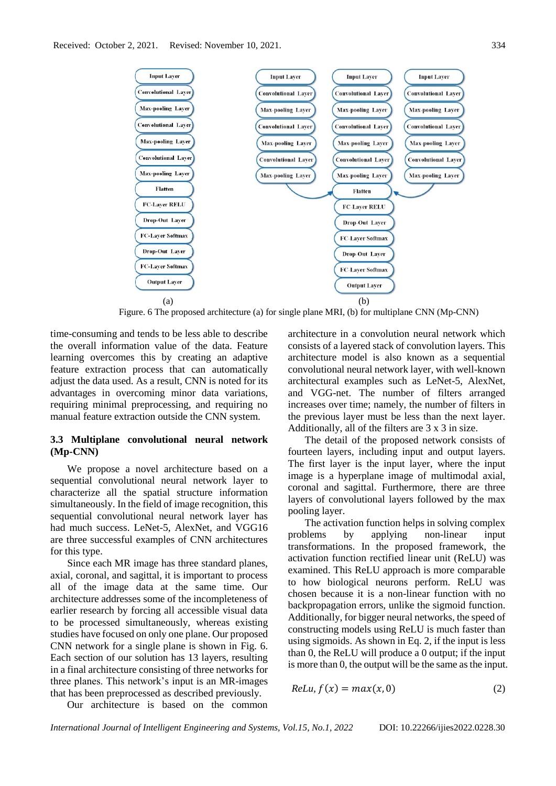

Figure. 6 The proposed architecture (a) for single plane MRI, (b) for multiplane CNN (Mp-CNN)

time-consuming and tends to be less able to describe the overall information value of the data. Feature learning overcomes this by creating an adaptive feature extraction process that can automatically adjust the data used. As a result, CNN is noted for its advantages in overcoming minor data variations, requiring minimal preprocessing, and requiring no manual feature extraction outside the CNN system.

# **3.3 Multiplane convolutional neural network (Mp-CNN)**

We propose a novel architecture based on a sequential convolutional neural network layer to characterize all the spatial structure information simultaneously. In the field of image recognition, this sequential convolutional neural network layer has had much success. LeNet-5, AlexNet, and VGG16 are three successful examples of CNN architectures for this type.

Since each MR image has three standard planes, axial, coronal, and sagittal, it is important to process all of the image data at the same time. Our architecture addresses some of the incompleteness of earlier research by forcing all accessible visual data to be processed simultaneously, whereas existing studies have focused on only one plane. Our proposed CNN network for a single plane is shown in Fig. 6. Each section of our solution has 13 layers, resulting in a final architecture consisting of three networks for three planes. This network's input is an MR-images that has been preprocessed as described previously.

architecture in a convolution neural network which consists of a layered stack of convolution layers. This architecture model is also known as a sequential convolutional neural network layer, with well-known architectural examples such as LeNet-5, AlexNet, and VGG-net. The number of filters arranged increases over time; namely, the number of filters in the previous layer must be less than the next layer. Additionally, all of the filters are 3 x 3 in size.

The detail of the proposed network consists of fourteen layers, including input and output layers. The first layer is the input layer, where the input image is a hyperplane image of multimodal axial, coronal and sagittal. Furthermore, there are three layers of convolutional layers followed by the max pooling layer.

The activation function helps in solving complex problems by applying non-linear input transformations. In the proposed framework, the activation function rectified linear unit (ReLU) was examined. This ReLU approach is more comparable to how biological neurons perform. ReLU was chosen because it is a non-linear function with no backpropagation errors, unlike the sigmoid function. Additionally, for bigger neural networks, the speed of constructing models using ReLU is much faster than using sigmoids. As shown in Eq. 2, if the input is less than 0, the ReLU will produce a 0 output; if the input is more than 0, the output will be the same as the input.

$$
ReLu, f(x) = max(x, 0)
$$
 (2)

Our architecture is based on the common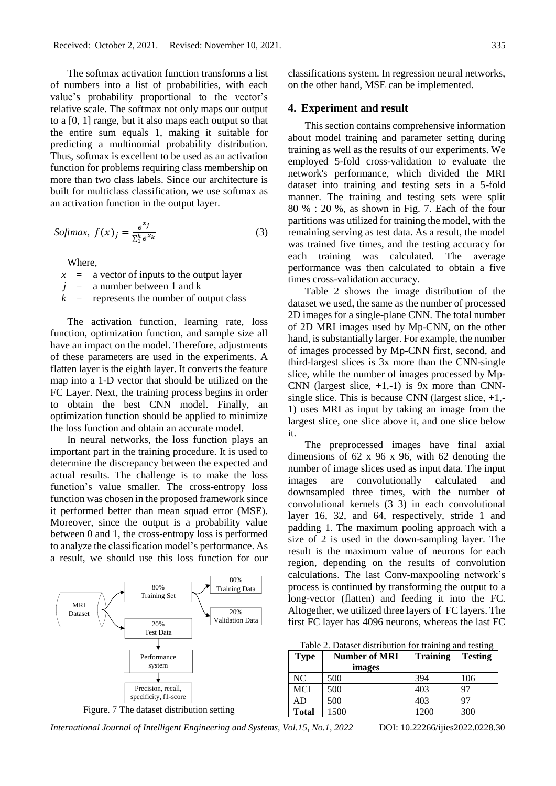The softmax activation function transforms a list of numbers into a list of probabilities, with each value's probability proportional to the vector's relative scale. The softmax not only maps our output to a [0, 1] range, but it also maps each output so that the entire sum equals 1, making it suitable for predicting a multinomial probability distribution. Thus, softmax is excellent to be used as an activation function for problems requiring class membership on more than two class labels. Since our architecture is built for multiclass classification, we use softmax as an activation function in the output layer.

$$
Softmax, f(x)_j = \frac{e^{x_j}}{\sum_1^k e^{x_k}}
$$
\n(3)

Where,

- $x = a$  vector of inputs to the output layer
- $j = a$  number between 1 and k
- $k =$  represents the number of output class

The activation function, learning rate, loss function, optimization function, and sample size all have an impact on the model. Therefore, adjustments of these parameters are used in the experiments. A flatten layer is the eighth layer. It converts the feature map into a 1-D vector that should be utilized on the FC Layer. Next, the training process begins in order to obtain the best CNN model. Finally, an optimization function should be applied to minimize the loss function and obtain an accurate model.

In neural networks, the loss function plays an important part in the training procedure. It is used to determine the discrepancy between the expected and actual results. The challenge is to make the loss function's value smaller. The cross-entropy loss function was chosen in the proposed framework since it performed better than mean squad error (MSE). Moreover, since the output is a probability value between 0 and 1, the cross-entropy loss is performed to analyze the classification model's performance. As a result, we should use this loss function for our



Figure. 7 The dataset distribution setting

classifications system. In regression neural networks, on the other hand, MSE can be implemented.

#### **4. Experiment and result**

This section contains comprehensive information about model training and parameter setting during training as well as the results of our experiments. We employed 5-fold cross-validation to evaluate the network's performance, which divided the MRI dataset into training and testing sets in a 5-fold manner. The training and testing sets were split 80 % : 20 %, as shown in Fig. 7. Each of the four partitions was utilized for training the model, with the remaining serving as test data. As a result, the model was trained five times, and the testing accuracy for each training was calculated. The average performance was then calculated to obtain a five times cross-validation accuracy.

Table 2 shows the image distribution of the dataset we used, the same as the number of processed 2D images for a single-plane CNN. The total number of 2D MRI images used by Mp-CNN, on the other hand, is substantially larger. For example, the number of images processed by Mp-CNN first, second, and third-largest slices is 3x more than the CNN-single slice, while the number of images processed by Mp-CNN (largest slice,  $+1,-1$ ) is 9x more than CNNsingle slice. This is because CNN (largest slice,  $+1$ ,-1) uses MRI as input by taking an image from the largest slice, one slice above it, and one slice below it.

The preprocessed images have final axial dimensions of 62 x 96 x 96, with 62 denoting the number of image slices used as input data. The input images are convolutionally calculated and downsampled three times, with the number of convolutional kernels (3 3) in each convolutional layer 16, 32, and 64, respectively, stride 1 and padding 1. The maximum pooling approach with a size of 2 is used in the down-sampling layer. The result is the maximum value of neurons for each region, depending on the results of convolution calculations. The last Conv-maxpooling network's process is continued by transforming the output to a long-vector (flatten) and feeding it into the FC. Altogether, we utilized three layers of FC layers. The first FC layer has 4096 neurons, whereas the last FC

| Table 2. Dataset distribution for training and testing |  |  |  |
|--------------------------------------------------------|--|--|--|
|--------------------------------------------------------|--|--|--|

| Type         | <b>Number of MRI</b> | <b>Training</b> | <b>Testing</b> |  |  |
|--------------|----------------------|-----------------|----------------|--|--|
|              | images               |                 |                |  |  |
| NC.          | 500                  | 394             | 106            |  |  |
| MCI          | 500                  | 403             |                |  |  |
| AD           | 500                  | 403             |                |  |  |
| <b>Total</b> | 1500                 | 1200            | 300            |  |  |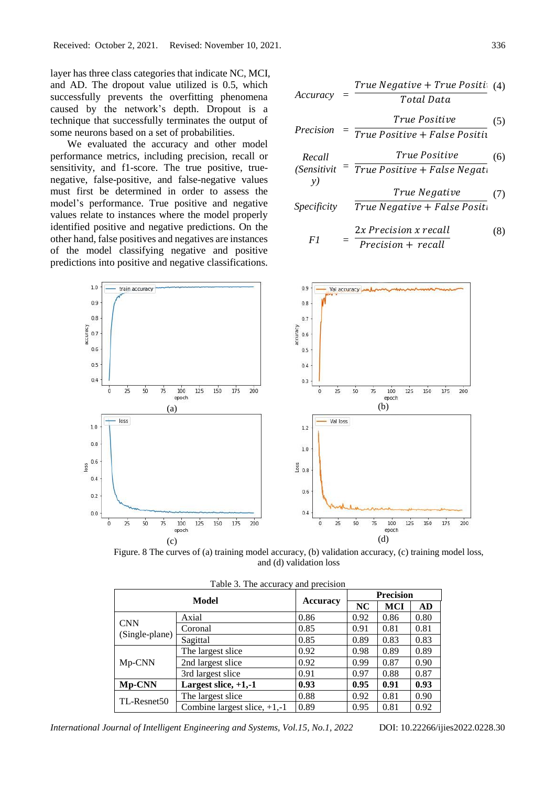layer has three class categories that indicate NC, MCI, and AD. The dropout value utilized is 0.5, which successfully prevents the overfitting phenomena caused by the network's depth. Dropout is a technique that successfully terminates the output of some neurons based on a set of probabilities.

We evaluated the accuracy and other model performance metrics, including precision, recall or sensitivity, and f1-score. The true positive, truenegative, false-positive, and false-negative values must first be determined in order to assess the model's performance. True positive and negative values relate to instances where the model properly identified positive and negative predictions. On the other hand, false positives and negatives are instances of the model classifying negative and positive predictions into positive and negative classifications.

| Accuracy     | $= \frac{True \ Negative + True \ Positive}{Total \ Data}$     | (4) |
|--------------|----------------------------------------------------------------|-----|
| Precision    | $= \frac{True \ Positive}{True \ Positive + False \ Positive}$ | (5) |
| Recall       | True \ Positive + False \ Positive                             | (6) |
| (Sensitivity | $True \ Positive + False \ Negative$                           | (7) |
| Specificity  | True \ Negative + False \ Positive                             | (7) |

$$
F1 = \frac{2x \text{ Precision } x \text{ recall}}{\text{Precision} + \text{recall}}
$$
 (8)



Figure. 8 The curves of (a) training model accuracy, (b) validation accuracy, (c) training model loss, and (d) validation loss

| Model                            |                                |                 | <b>Precision</b> |      |      |  |
|----------------------------------|--------------------------------|-----------------|------------------|------|------|--|
|                                  |                                | <b>Accuracy</b> | <b>NC</b>        | MCI  | AD.  |  |
|                                  | Axial                          | 0.86            | 0.92             | 0.86 | 0.80 |  |
| <b>CNN</b>                       | Coronal                        | 0.85            | 0.91             | 0.81 | 0.81 |  |
| (Single-plane)                   | Sagittal                       | 0.85            | 0.89             | 0.83 | 0.83 |  |
| Mp-CNN                           | The largest slice              | 0.92            | 0.98             | 0.89 | 0.89 |  |
|                                  | 2nd largest slice              | 0.92            | 0.99             | 0.87 | 0.90 |  |
|                                  | 3rd largest slice              | 0.91            | 0.97             | 0.88 | 0.87 |  |
| Largest slice, $+1,-1$<br>Mp-CNN |                                | 0.93            | 0.95             | 0.91 | 0.93 |  |
| TL-Resnet50                      | The largest slice              | 0.88            | 0.92             | 0.81 | 0.90 |  |
|                                  | Combine largest slice, $+1,-1$ | 0.89            | 0.95             | 0.81 | 0.92 |  |

Table 3. The accuracy and precision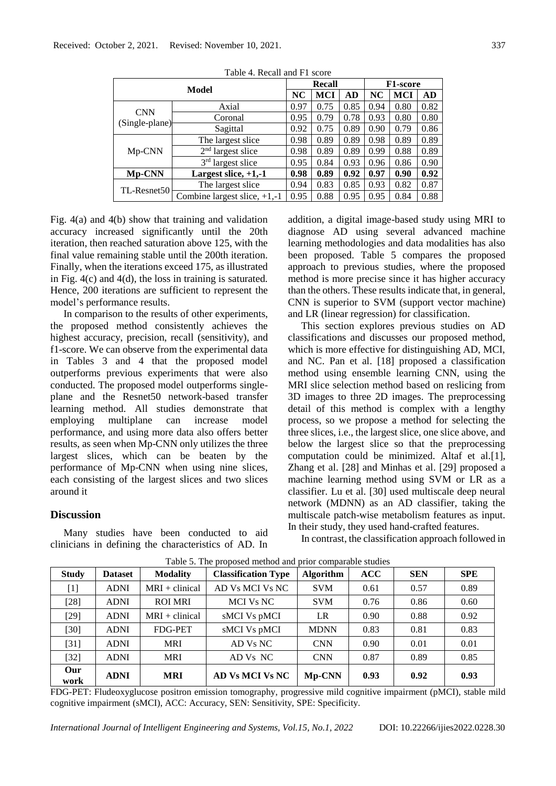| Model                            |                                 | Recall |      |      | <b>F1-score</b> |      |      |
|----------------------------------|---------------------------------|--------|------|------|-----------------|------|------|
|                                  |                                 | NC     | MCI  | AD   | NC              | MCI  | AD   |
|                                  | Axial                           | 0.97   | 0.75 | 0.85 | 0.94            | 0.80 | 0.82 |
| <b>CNN</b>                       | Coronal                         | 0.95   | 0.79 | 0.78 | 0.93            | 0.80 | 0.80 |
| (Single-plane)                   | Sagittal                        | 0.92   | 0.75 | 0.89 | 0.90            | 0.79 | 0.86 |
| Mp-CNN                           | The largest slice               | 0.98   | 0.89 | 0.89 | 0.98            | 0.89 | 0.89 |
|                                  | $2nd$ largest slice             | 0.98   | 0.89 | 0.89 | 0.99            | 0.88 | 0.89 |
|                                  | 3rd largest slice               | 0.95   | 0.84 | 0.93 | 0.96            | 0.86 | 0.90 |
| Largest slice, $+1,-1$<br>Mp-CNN |                                 | 0.98   | 0.89 | 0.92 | 0.97            | 0.90 | 0.92 |
| TL-Resnet50                      | The largest slice               | 0.94   | 0.83 | 0.85 | 0.93            | 0.82 | 0.87 |
|                                  | Combine largest slice, $+1, -1$ | 0.95   | 0.88 | 0.95 | 0.95            | 0.84 | 0.88 |

Table 4. Recall and F1 score

Fig. 4(a) and 4(b) show that training and validation accuracy increased significantly until the 20th iteration, then reached saturation above 125, with the final value remaining stable until the 200th iteration. Finally, when the iterations exceed 175, as illustrated in Fig. 4(c) and 4(d), the loss in training is saturated. Hence, 200 iterations are sufficient to represent the model's performance results.

In comparison to the results of other experiments, the proposed method consistently achieves the highest accuracy, precision, recall (sensitivity), and f1-score. We can observe from the experimental data in Tables 3 and 4 that the proposed model outperforms previous experiments that were also conducted. The proposed model outperforms singleplane and the Resnet50 network-based transfer learning method. All studies demonstrate that employing multiplane can increase model performance, and using more data also offers better results, as seen when Mp-CNN only utilizes the three largest slices, which can be beaten by the performance of Mp-CNN when using nine slices, each consisting of the largest slices and two slices around it

# **Discussion**

Many studies have been conducted to aid clinicians in defining the characteristics of AD. In

addition, a digital image-based study using MRI to diagnose AD using several advanced machine learning methodologies and data modalities has also been proposed. Table 5 compares the proposed approach to previous studies, where the proposed method is more precise since it has higher accuracy than the others. These results indicate that, in general, CNN is superior to SVM (support vector machine) and LR (linear regression) for classification.

This section explores previous studies on AD classifications and discusses our proposed method, which is more effective for distinguishing AD, MCI, and NC. Pan et al. [18] proposed a classification method using ensemble learning CNN, using the MRI slice selection method based on reslicing from 3D images to three 2D images. The preprocessing detail of this method is complex with a lengthy process, so we propose a method for selecting the three slices, i.e., the largest slice, one slice above, and below the largest slice so that the preprocessing computation could be minimized. Altaf et al.[1], Zhang et al. [28] and Minhas et al. [29] proposed a machine learning method using SVM or LR as a classifier. Lu et al. [30] used multiscale deep neural network (MDNN) as an AD classifier, taking the multiscale patch-wise metabolism features as input. In their study, they used hand-crafted features.

In contrast, the classification approach followed in

| <b>Study</b> | <b>Dataset</b> | <b>Modality</b>  | <b>Classification Type</b> | <b>Algorithm</b> | ACC  | <b>SEN</b> | <b>SPE</b> |
|--------------|----------------|------------------|----------------------------|------------------|------|------------|------------|
| $[1]$        | <b>ADNI</b>    | $MRI + clinical$ | AD Vs MCI Vs NC            | <b>SVM</b>       | 0.61 | 0.57       | 0.89       |
| $[28]$       | <b>ADNI</b>    | <b>ROI MRI</b>   | <b>MCI Vs NC</b>           | <b>SVM</b>       | 0.76 | 0.86       | 0.60       |
| $[29]$       | <b>ADNI</b>    | $MRI + clinical$ | sMCI Vs pMCI               | LR               | 0.90 | 0.88       | 0.92       |
| $[30]$       | <b>ADNI</b>    | <b>FDG-PET</b>   | sMCI Vs pMCI               | <b>MDNN</b>      | 0.83 | 0.81       | 0.83       |
| $[31]$       | <b>ADNI</b>    | <b>MRI</b>       | AD Vs NC                   | <b>CNN</b>       | 0.90 | 0.01       | 0.01       |
| $[32]$       | <b>ADNI</b>    | <b>MRI</b>       | AD Vs NC                   | <b>CNN</b>       | 0.87 | 0.89       | 0.85       |
| Our<br>work  | <b>ADNI</b>    | <b>MRI</b>       | <b>AD Vs MCI Vs NC</b>     | Mp-CNN           | 0.93 | 0.92       | 0.93       |

Table 5. The proposed method and prior comparable studies

FDG-PET: Fludeoxyglucose positron emission tomography, progressive mild cognitive impairment (pMCI), stable mild cognitive impairment (sMCI), ACC: Accuracy, SEN: Sensitivity, SPE: Specificity.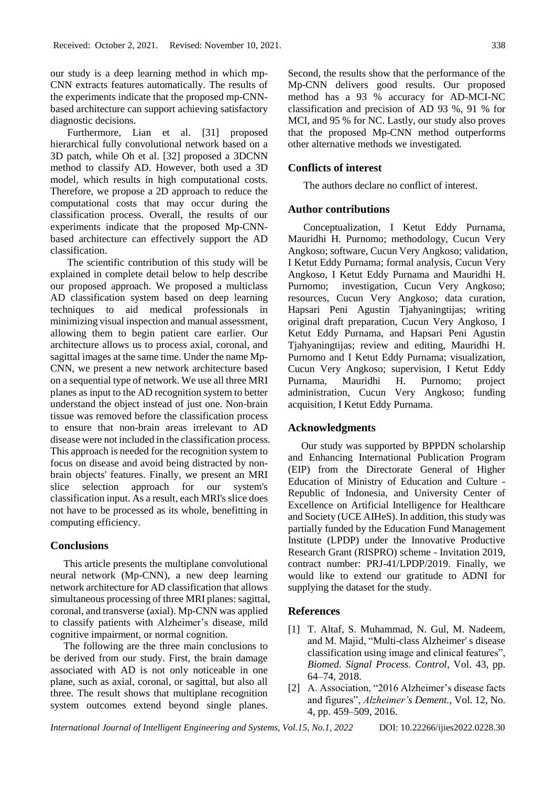our study is a deep learning method in which mp-CNN extracts features automatically. The results of the experiments indicate that the proposed mp-CNNbased architecture can support achieving satisfactory diagnostic decisions.

Furthermore, Lian et al. [31] proposed hierarchical fully convolutional network based on a 3D patch, while Oh et al. [32] proposed a 3DCNN method to classify AD. However, both used a 3D model, which results in high computational costs. Therefore, we propose a 2D approach to reduce the computational costs that may occur during the classification process. Overall, the results of our experiments indicate that the proposed Mp-CNNbased architecture can effectively support the AD classification.

The scientific contribution of this study will be explained in complete detail below to help describe our proposed approach. We proposed a multiclass AD classification system based on deep learning techniques to aid medical professionals in minimizing visual inspection and manual assessment, allowing them to begin patient care earlier. Our architecture allows us to process axial, coronal, and sagittal images at the same time. Under the name Mp-CNN, we present a new network architecture based on a sequential type of network. We use all three MRI planes as input to the AD recognition system to better understand the object instead of just one. Non-brain tissue was removed before the classification process to ensure that non-brain areas irrelevant to AD disease were not included in the classification process. This approach is needed for the recognition system to focus on disease and avoid being distracted by nonbrain objects' features. Finally, we present an MRI slice selection approach for our system's classification input. As a result, each MRI's slice does not have to be processed as its whole, benefitting in computing efficiency.

# **Conclusions**

This article presents the multiplane convolutional neural network (Mp-CNN), a new deep learning network architecture for AD classification that allows simultaneous processing of three MRI planes: sagittal, coronal, and transverse (axial). Mp-CNN was applied to classify patients with Alzheimer's disease, mild cognitive impairment, or normal cognition.

The following are the three main conclusions to be derived from our study. First, the brain damage associated with AD is not only noticeable in one plane, such as axial, coronal, or sagittal, but also all three. The result shows that multiplane recognition system outcomes extend beyond single planes.

Second, the results show that the performance of the Mp-CNN delivers good results. Our proposed method has a 93 % accuracy for AD-MCI-NC classification and precision of AD 93 %, 91 % for MCI, and 95 % for NC. Lastly, our study also proves that the proposed Mp-CNN method outperforms other alternative methods we investigated.

# **Conflicts of interest**

The authors declare no conflict of interest.

### **Author contributions**

Conceptualization, I Ketut Eddy Purnama, Mauridhi H. Purnomo; methodology, Cucun Very Angkoso; software, Cucun Very Angkoso; validation, I Ketut Eddy Purnama; formal analysis, Cucun Very Angkoso, I Ketut Eddy Purnama and Mauridhi H. Purnomo; investigation, Cucun Very Angkoso; resources, Cucun Very Angkoso; data curation, Hapsari Peni Agustin Tjahyaningtijas; writing original draft preparation, Cucun Very Angkoso, I Ketut Eddy Purnama, and Hapsari Peni Agustin Tjahyaningtijas; review and editing, Mauridhi H. Purnomo and I Ketut Eddy Purnama; visualization, Cucun Very Angkoso; supervision, I Ketut Eddy Purnama, Mauridhi H. Purnomo; project administration, Cucun Very Angkoso; funding acquisition, I Ketut Eddy Purnama.

### **Acknowledgments**

Our study was supported by BPPDN scholarship and Enhancing International Publication Program (EIP) from the Directorate General of Higher Education of Ministry of Education and Culture - Republic of Indonesia, and University Center of Excellence on Artificial Intelligence for Healthcare and Society (UCE AIHeS). In addition, this study was partially funded by the Education Fund Management Institute (LPDP) under the Innovative Productive Research Grant (RISPRO) scheme - Invitation 2019, contract number: PRJ-41/LPDP/2019. Finally, we would like to extend our gratitude to ADNI for supplying the dataset for the study.

### **References**

- [1] T. Altaf, S. Muhammad, N. Gul, M. Nadeem, and M. Majid, "Multi-class Alzheimer' s disease classification using image and clinical features", *Biomed. Signal Process. Control*, Vol. 43, pp. 64–74, 2018.
- [2] A. Association, "2016 Alzheimer's disease facts and figures", *Alzheimer's Dement.*, Vol. 12, No. 4, pp. 459–509, 2016.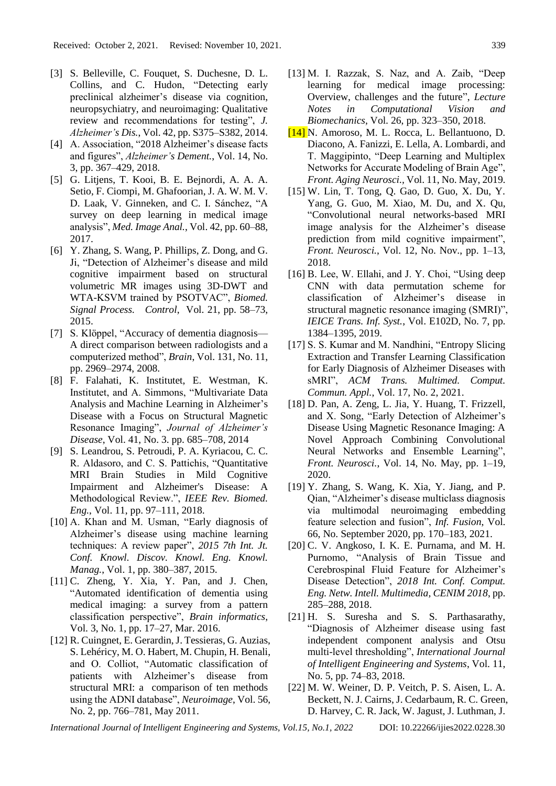- [3] S. Belleville, C. Fouquet, S. Duchesne, D. L. Collins, and C. Hudon, "Detecting early preclinical alzheimer's disease via cognition, neuropsychiatry, and neuroimaging: Qualitative review and recommendations for testing", *J. Alzheimer's Dis.*, Vol. 42, pp. S375–S382, 2014.
- [4] A. Association, "2018 Alzheimer's disease facts and figures", *Alzheimer's Dement.*, Vol. 14, No. 3, pp. 367–429, 2018.
- [5] G. Litjens, T. Kooi, B. E. Bejnordi, A. A. A. Setio, F. Ciompi, M. Ghafoorian, J. A. W. M. V. D. Laak, V. Ginneken, and C. I. Sánchez, "A survey on deep learning in medical image analysis", *Med. Image Anal.*, Vol. 42, pp. 60–88, 2017.
- [6] Y. Zhang, S. Wang, P. Phillips, Z. Dong, and G. Ji, "Detection of Alzheimer's disease and mild cognitive impairment based on structural volumetric MR images using 3D-DWT and WTA-KSVM trained by PSOTVAC", *Biomed. Signal Process. Control*, Vol. 21, pp. 58–73, 2015.
- [7] S. Klöppel, "Accuracy of dementia diagnosis— A direct comparison between radiologists and a computerized method", *Brain*, Vol. 131, No. 11, pp. 2969–2974, 2008.
- [8] F. Falahati, K. Institutet, E. Westman, K. Institutet, and A. Simmons, "Multivariate Data Analysis and Machine Learning in Alzheimer's Disease with a Focus on Structural Magnetic Resonance Imaging", *Journal of Alzheimer's Disease*, Vol. 41, No. 3. pp. 685–708, 2014
- [9] S. Leandrou, S. Petroudi, P. A. Kyriacou, C. C. R. Aldasoro, and C. S. Pattichis, "Quantitative MRI Brain Studies in Mild Cognitive Impairment and Alzheimer's Disease: A Methodological Review.", *IEEE Rev. Biomed. Eng.*, Vol. 11, pp. 97–111, 2018.
- [10] A. Khan and M. Usman, "Early diagnosis of Alzheimer's disease using machine learning techniques: A review paper", *2015 7th Int. Jt. Conf. Knowl. Discov. Knowl. Eng. Knowl. Manag.*, Vol. 1, pp. 380–387, 2015.
- [11] C. Zheng, Y. Xia, Y. Pan, and J. Chen, "Automated identification of dementia using medical imaging: a survey from a pattern classification perspective", *Brain informatics*, Vol. 3, No. 1, pp. 17–27, Mar. 2016.
- [12] R. Cuingnet, E. Gerardin, J. Tessieras, G. Auzias, S. Lehéricy, M. O. Habert, M. Chupin, H. Benali, and O. Colliot, "Automatic classification of patients with Alzheimer's disease from structural MRI: a comparison of ten methods using the ADNI database", *Neuroimage*, Vol. 56, No. 2, pp. 766–781, May 2011.
- [13] M. I. Razzak, S. Naz, and A. Zaib, "Deep learning for medical image processing: Overview, challenges and the future", *Lecture Notes in Computational Vision and Biomechanics*, Vol. 26, pp. 323–350, 2018.
- [14] N. Amoroso, M. L. Rocca, L. Bellantuono, D. Diacono, A. Fanizzi, E. Lella, A. Lombardi, and T. Maggipinto, "Deep Learning and Multiplex Networks for Accurate Modeling of Brain Age", *Front. Aging Neurosci.,* Vol. 11, No. May, 2019.
- [15] W. Lin, T. Tong, Q. Gao, D. Guo, X. Du, Y. Yang, G. Guo, M. Xiao, M. Du, and X. Qu, "Convolutional neural networks-based MRI image analysis for the Alzheimer's disease prediction from mild cognitive impairment", *Front. Neurosci.*, Vol. 12, No. Nov., pp. 1–13, 2018.
- [16] B. Lee, W. Ellahi, and J. Y. Choi, "Using deep CNN with data permutation scheme for classification of Alzheimer's disease in structural magnetic resonance imaging (SMRI)", *IEICE Trans. Inf. Syst.*, Vol. E102D, No. 7, pp. 1384–1395, 2019.
- [17] S. S. Kumar and M. Nandhini, "Entropy Slicing Extraction and Transfer Learning Classification for Early Diagnosis of Alzheimer Diseases with sMRI", *ACM Trans. Multimed. Comput. Commun. Appl.*, Vol. 17, No. 2, 2021.
- [18] D. Pan, A. Zeng, L. Jia, Y. Huang, T. Frizzell, and X. Song, "Early Detection of Alzheimer's Disease Using Magnetic Resonance Imaging: A Novel Approach Combining Convolutional Neural Networks and Ensemble Learning", *Front. Neurosci.*, Vol. 14, No. May, pp. 1–19, 2020.
- [19] Y. Zhang, S. Wang, K. Xia, Y. Jiang, and P. Qian, "Alzheimer's disease multiclass diagnosis via multimodal neuroimaging embedding feature selection and fusion", *Inf. Fusion*, Vol. 66, No. September 2020, pp. 170–183, 2021.
- [20] C. V. Angkoso, I. K. E. Purnama, and M. H. Purnomo, "Analysis of Brain Tissue and Cerebrospinal Fluid Feature for Alzheimer's Disease Detection", *2018 Int. Conf. Comput. Eng. Netw. Intell. Multimedia, CENIM 2018*, pp. 285–288, 2018.
- [21] H. S. Suresha and S. S. Parthasarathy, "Diagnosis of Alzheimer disease using fast independent component analysis and Otsu multi-level thresholding", *International Journal of Intelligent Engineering and Systems*, Vol. 11, No. 5, pp. 74–83, 2018.
- [22] M. W. Weiner, D. P. Veitch, P. S. Aisen, L. A. Beckett, N. J. Cairns, J. Cedarbaum, R. C. Green, D. Harvey, C. R. Jack, W. Jagust, J. Luthman, J.